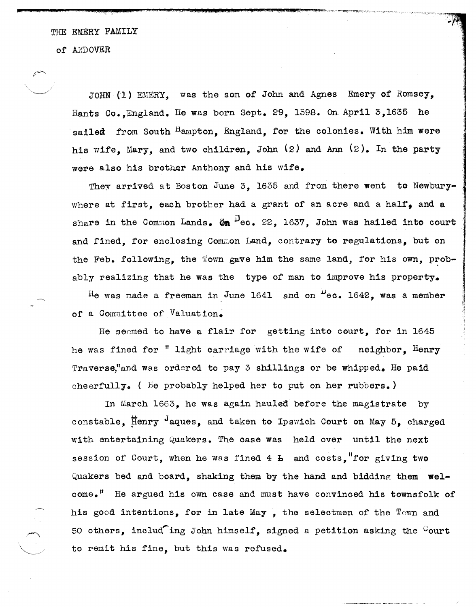THE EMERY FAMILY

..... .- 232\_£ £ .. #.~L-\_£ ), .. ,( @C.@Q

of ANDOVER

JOHN (1) EMERY, was the son of John and Agnes Emery of Romsey, Hants Co.,England. He was born Sept. 29,1598. On April 3,1635 he sailed from South  $^{\text{H}}$ ampton, England, for the colonies. With him were his wife, Mary, and two children, John  $(2)$  and Ann  $(2)$ . In the party were also his brother Anthony and his wife.

They arrived at Boston June 3. 1635 and from there went to Newburywhere at first, each brother had a grant of an acre and a half, and a share in the Common Lands.  $\bar{w}$   $\mu$ ec. 22. 1637. John was hailed into court and fined, for enclosing Common Land, contrary to regulations, but on the Feb. following, the Town gave him the same land, for his own, probably realizing that he was the type of man to improve his property. He was made a freeman in June 1641 and on  $\frac{1}{2}$ ec. 1642, was a member

~

j ,

of a Committee of Valuation.

He seemed to have a flair for getting into court, for in 1645 he was fined for " light carriage with the wife of neighbor, Henry Traverse,"and was ordered to pay 3 shillings or be whipped. He paid cheerfully. ( He probably helped her to put on her rubbers.)

In March 1663, he was again hauled before the magistrate by constable,  $\overline{F}$  flenry  $\overline{F}$  aques, and taken to Ipswich Court on May 5, charged with entertaining Quakers. The case was held over until the next session of Court, when he was fined  $4\text{ h}$  and costs, "for giving two Quakers bed and board, shaking them by the hand and bidding them welcome." He argued his own case and must have convinced his townsfolk of his good intentions, for in late May , the selectmen of the Town and 50 others, includ ing John himself, signed a petition asking the  $G$ ourt to remit his fine, but this was refused.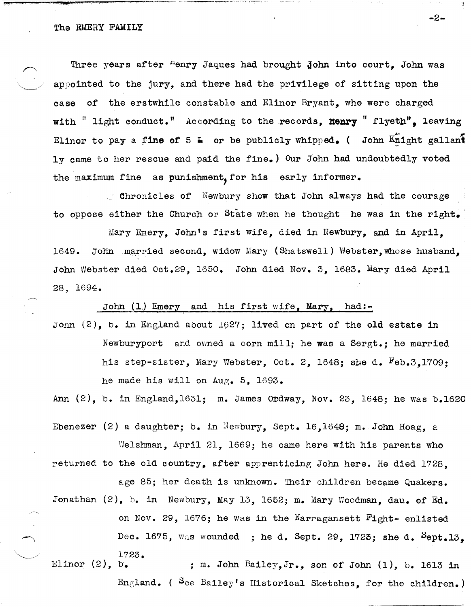Three years after <sup>H</sup>enry Jaques had brought John into court. John was appointed to the jury, and there had the privilege of sitting upon the case of the erstwhile constable and Elinor Bryant, who were charged with " light conduct." According to the records, **Henry** " flyeth", leaving Elinor to pay a fine of 5  $\text{\textbf{L}}$  or be publicly whipped. ( John  $\texttt{K}_{\textbf{L}}$ ight gallant  $1v$  came to her rescue and paid the fine.) Our John had undoubtedly voted the maximum fine as punishment, for his early informer.

 $\blacksquare$  chronicles of Newbury show that John always had the courage to oppose either the Church or State when he thought he was in the right.

Mary Emery, John's first wife, died in Newbury, and in April, 1649. John married second, widow Mary (Shatswell) Webster, whose husband. John Webster died Oct.29, 1650. John died Nov. 3, 1683. Mary died April 28, 1694.

John (1) Emery and his first wife. Mary, had:-

Jonn  $(2)$ , b. in England about  $1627$ ; lived on part of the old estate in Newburyport and owned a corn mill; he was a 8ergt.; he married his step-sister, Mary Webster, Oct. 2, 1648; she d. Feb.3,1709: he made his will on Aug. 5, 1693.

Ann  $(2)$ , b. in England,1631; m. James Ordway, Nov. 23, 1648; he was b.1620

Ebenezer (2) a daughter; b. in Newbury, Sept. 16,1648; m. John Hoag, a Welshman, April 21, 1669; he came here with his parents who returned to the old country, after apprenticing John here. He died 1728, age 85; her death is unknown. Their children became Quakers. Jonathan  $(2)$ , b. in Newbury, May 13, 1652; m. Mary Woodman, dau. of Ed. on Nov. 29, 1676; he was in the Narragansett  $\texttt{Fight-}$  enlisted Dec. 1675,  $w_{8}$ s wounded ; he d. Sept. 29, 1723; she d. Sept.13, 1723. Elinor  $(2)$ , b. ; m. John Bailey, Jr., son of John  $(1)$ , b. 1613 in England. ( See Bailey's Historical Sketches, for the children.)

-2-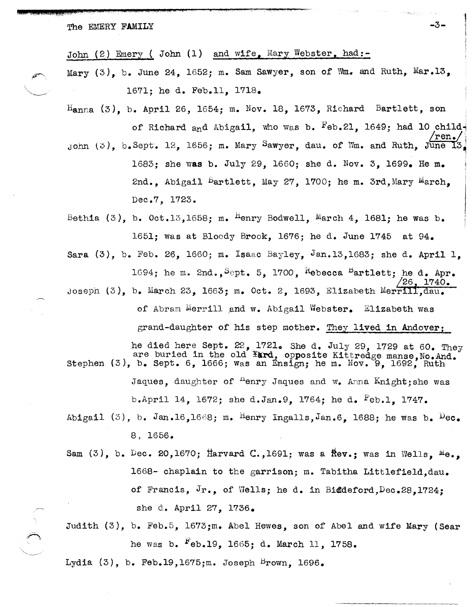The EMERY FAMILY  $-3-$ 

John (2) Emery ( John (1) and wife, Mary Webster, had:-

Mary  $(3)$ , b. June 24, 1652; m. Sam Sawyer, son of Wm. and Ruth, Mar.13. 1671; he d. Feb.l1, 1718.

 $H_{\text{anna}}$  (3), b. April 26, 1654; m. Nov. 18, 1673, Richard Bartlett, son of Richard and Abigail, who was b.  $_{\rm{Feb.21,}}$  1649; had 10 child- $\frac{\text{rem.}}{\text{m} \cdot \text{m}}$ John  $(0)$ , b. Sept. 12, 1656; m. Mary Sawyer, dau. of Wm. and Ruth. June 1683; she was b. July 29, 1660; she d. Nov. 3, 1699. He m.

2nd., Abigail  $B$ artlett, May 27, 1700; he m. 3rd, Mary March, Dec.7, 1723.

" 4:;;

Bethia  $(3)$ , b. Oct.13,1658; m. <sup>H</sup>enry Bodwell, March 4, 1681; he was b. 1651; was at Bloody Brook, 1676; he d. June 1745 at 94.

Sara  $(3)$ , b. Feb. 26, 1660; m. Isaac Bayley, Jan.13,1683; she d. April 1. 1694; he m. 2nd., Sept. 5, 1700, Rebecca Bartlett; he d. Apr. 1740. Josepn (3), b. March 23, 1663; m. Oct. 2, 1693, Elizabeth Merrili,dau. of Abram Merrill and w. Abigail Webster. Elizabeth was

grand-daughter of his step mother. They lived in Andover;

he died here Sept.  $22$ , 1721. She d. July 29, 1729 at 60. They are buried in the old ¥ard, opposite Kittredge manse, No. And. Stephen  $(3)$ , b. Sept. 6, 1666; was an Ensign; he m. Nov. 9, 1692, Ruth Jaques, daughter of  $P$ enry Jaques and w. Anna Knight; she was b.April 14, 1672; she d.Jan.9, 1764; he d. <sup>F</sup>eb.1, 1747.

- Abigail (3), b. Jan.16,1668; m. Henry Ingalls, Jan.6, 1688; he was b.  $\mu_{\text{ec}}$ . 8, 1656.
- Sam  $(3)$ , b. Dec. 20,1670; Harvard C.,1691; was a  $r$ ftev.; was in Wells,  $M_{\theta_{\alpha}}$ 1668- chaplain to the garrison; m. Tabitha Litt1efie1d,dau. of Francis,  $Jr_{\bullet}$ , of Wells; he d. in Biddeford, Dec. 28.1724: she d. April 27, 1736.
- Judith (3), b. Feb.5, 1673;m. Abel Hewes, son of Abel and wife Mary (Sear he was b. <sup>r</sup>eb.19, 1665; d. March 11, 1758.

Lydia  $(3)$ , b. Feb.19,1675;m. Joseph Brown, 1696.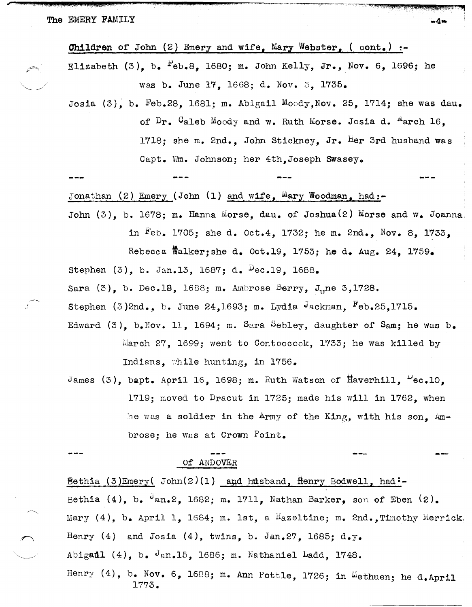**Children** of John (2) Emery and wife, Mary Webster,  $($  cont.)  $:$ Elizabeth (3), b.  $F$ eb.8, 1680; m. John Kelly, Jr., Nov. 6, 1696; he was b. June 17, 1668; d. Nov. 3, 1735.

Josia (3), b. Feb.28, 1681; m. Abigail Moody, Nov. 25, 1714; she was dau. of  $Dr_a$ . Caleb Moody and w. Ruth Morse. Josia d. "arch 16, 1718; she m. 2nd., John Stickney, Jr. Her 3rd husband was Capt. Wm. Johnson; her 4th, Joseph Swasey.

. ~/

Jonathan (2) Emery (John (1) and wife,  $M$ ary Woodman, had:-

John  $(3)$ , b. 1678; m. Hanna Morse, dau. of Joshua $(2)$  Morse and w. Joanna

in Feb. 1705; she d. Oct.4, 1732; he m. 2nd., Nov. 8, 1733,

Rebecca Walker; she d. Oct.19, 1753; he d. Aug. 24, 1759.

Stephen (3), b. Jan.13, 1687; d. Dec.19, 1688.

Sara  $(3)$ , b. Dec.18, 1688; m. Ambrose Berry, J<sub>u</sub>ne 3,1728.

Stephen  $(3)$ 2nd., b. June 24,1693; m. Lydia Jackman, Feb.25,1715.

- Edward  $(3)$ , b.Nov. 11, 1694; m. Sara Sebley, daughter of Sam; he was b. March 27, 1699; went to Contoocook, 1733; he was killed by Indians, while hunting, in  $1756.$
- James (3), bapt. April 16, 1698; m. Ruth Watson of Haverhill,  $\mu_{\text{ec.10}}$ . 1719; moved to Dracut in 1725; made his will in 1762, when he was a soldier in the Army of the King, with his son, Ambrose; he was at Crown Point.

Of.' ANDOVER

Bethia (3)Emery( John(2)(1) and husband, Henry Bodwell, had:-Bethia (4), b.  $\theta$ an.2, 1682; m. 1711, Nathan Barker, son of Eben (2). Mary  $(4)$ , b. April 1, 1684; m. 1st, a Hazeltine; m. 2nd., Timothy Merrick. Henry (4) and Josia (4), twins, b. Jan.27, 1685; d.y. Abigadl  $(4)$ , b.  $\sqrt{3}$ an.15, 1686; m. Nathaniel Ladd, 1748. Henry (4), b. Nov. 6, 1688; m. Ann Pottle, 1726; in  $M$ ethuen; he d.April 1773.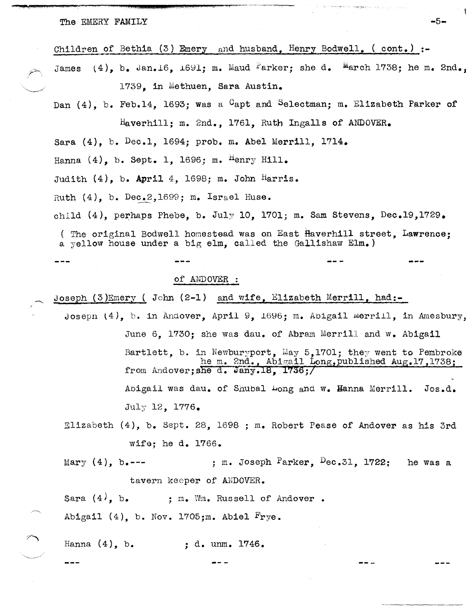Children of Bethia (3) Emery and husband, Henry Bodwell,  $($  cont.) :-

 $(4)$ , b. Jan.16, 1691; m. Maud Parker; she d. March 1738; he m. 2nd., James 1739. in Methuen, Sara Austin.

 $-5-$ 

Dan  $(4)$ . b. Feb.14. 1693: was a <sup>C</sup>apt and Selectman: m. Elizabeth Parker of Haverhill; m. 2nd., 1761, Ruth Ingalls of ANDOVER.

Sara  $(4)$ , b. Dec.1, 1694; prob. m. Abel Merrill, 1714.

Hanna  $(4)$ , b. Sept. 1, 1696; m. <sup>H</sup>enry Hill.

Judith  $(4)$ , b. April 4, 1698; m. John Harris.

Ruth  $(4)$ , b. Dec.2,1699; m. Israel Huse.

child  $(4)$ , perhaps Phebe, b. July 10, 1701; m. Sam Stevens, Dec.19,1729.

(The original Bodwell homestead was on East Haverhill street, Lawrence; a yellow house under a big elm, called the Gallishaw  $Elm_{\bullet}$ )

### of ANDOVER :

Joseph (3)Emery (John (2-1) and wife, Elizabeth Merrill, had:-

- Joseph  $(4)$ , b. in Andover, April 9, 1696; m. Abigail merrill, in Amesbury, June 6. 1730; she was dau. of Abram Merrill and w. Abigail Bartlett, b. in Newburyport, May 5,1701; they went to Pembroke he m. 2nd., Abigail Long, published Aug.17, 1738; from Andover; she d. Jany.18, 1736;/ Abigail was dau. of Shubal Long and w. Hanna Merrill.  $Jos.d.$ July 12, 1776.
- Elizabeth (4), b. Sept. 28, 1698 ; m. Robert Pease of Andover as his 3rd wife; he d.  $1766.$

; m. Joseph  $P$ arker,  $D$ ec.31, 1722; he was a Mary  $(4)$ , b.--tavern keeper of ANDOVER.

Sara  $(4)$ , b. ; m. Wm. Russell of Andover. Abigail  $(4)$ , b. Nov. 1705; m. Abiel  $rye$ .

Hanna  $(4)$ , b. ; d. unm.  $1746.$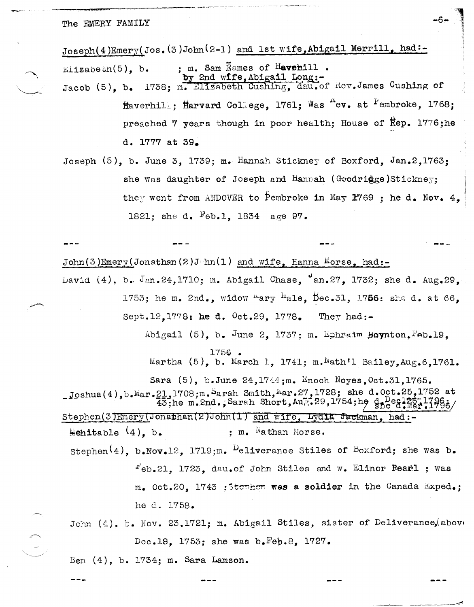Joseph(4)Emery(Jos. (3)John(2-1) and 1st wife, Abigail Merrill, had:-; m. Sam Eames of Havehill.  $E11$ zabeth $(5)$ , b. by 2nd wffe, Abigail Long:-<br>1738; m. Elizabeth Cushing, dau.of Rev.James Cushing of Jacob  $(5)$ . b. flaverhill: Harvard College, 1761; Was "ev. at <sup>P</sup>embroke, 1768; preached 7 years though in poor health; House of Rep. 1776; he d. 1777 at 39.

Joseph  $(5)$ , b. June 3, 1739; m. Hannah Stickney of Boxford, Jan.2,1763; she was daughter of Joseph and Hannah (Goodridge)Stickney; they went from ANDOVER to Pembroke in May 1769 ; he d. Nov.  $4$ , 1821; she d. Feb.1, 1834 age 97.

 $John(3)Emery(Jonathan(2)J/m(1) and wife, Hanna Morse, had:-$ David (4), b. Jan.24,1710; m. Abigail Chase, "an.27, 1732; she d. Aug.29, 1753; he m. 2nd., widow mary hale, Dec.31, 1756: she d. at 66, Sept.12.1778: he d. 0ct.29, 1778. They had:-Abigail (5), b. June 2, 1737; m. Ephraim Boynton, Feb.19. Martha (5), b. March 1, 1741; m. Nath'l Bailey, Aug. 6.1761. Sara (5), b.June 24,1744; m. Enoch Noyes, Oct.31,1765. Joshua(4), b. Mar. 21, 1708; m. Sarah Smith, Mar. 27, 1728; she d. Oct. 25, 1752 at  $\overline{43}$ ; he m. 2nd.; Sarah Short, Au $\overline{3}$ : 29, 1754; he deel? Stephen(3)Emery(Jonathan(2)John(1) and wife, Lydia Jackman, had:-Mehitable  $(4)$ , b. ; m. Nathan Morse. Stephen<sup>(4)</sup>, b. Nov. 12, 1719; m. <sup>D</sup>eliverance Stiles of Boxford; she was b.  $F_{eb,21}$ , 1723, dau.of John Stiles and w. Elinor Rearl ; was  $m_e$  Oct.20. 1743 : Stowhom was a soldier in the Canada Exped.; he d. 1758. John  $(4)$ , b. Nov. 23.1721; m. Abigail Stiles, sister of Deliverance, above Dec.18, 1753; she was b.Fep.8, 1727.

Ben  $(4)$ , b. 1734; m. Sara Lamson.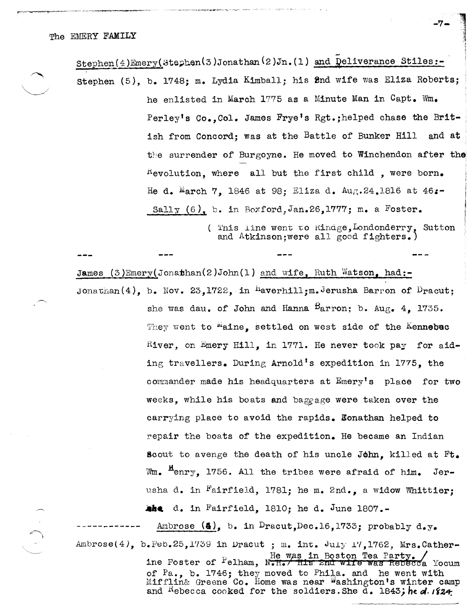$Stephen(4) \text{Energy}(Stephen(3) \text{Jonathan}(2) \text{Jn.}(1)$  and  $Deliverance$  Stiles:-Stephen (5), b. 1748; m. Lydia Kimball; his Snd wife was Eliza Roberts; he enlisted in March 1775 as a Minute Man in Capt. Wm. Perley's Co., Col. James Frye's Rgt.; helped chase the British from Concord; was at the Battle of Bunker Hill and at the surrender of Burgoyne. He moved to Winchendon after the  $K$ evolution, where all but the first child, were born. He d. March 7, 1846 at 98; Eliza d. Aug. 24, 1816 at 46:-Sally  $(6)$ , b. in Boxford, Jan. 26, 1777; m. a Foster.

> ( This line went to  $\texttt{Rimage,}$  Londonderry, Sutton and Atkinson;were all good fighters.)

James  $(3)$ Emery(Jonathan(2)John(1) and wife, Ruth Watson, had:-Jonathan(4), b. Nov. 23,1722, in  $H$ averhill; m. Jerusha Barron of Dracut;

> she was dau. of John and Hanna  $B$ arron; b. Aug. 4. 1735. They went to "aine, settled on west side of the Kennebac River, on Emery Hill, in 1771. He never took pay for aiding travellers. During Arnold's expedition in 1775, the commander made his headquarters at Emery's place for two weeks, while his boats and baggage were taken over the carrying place to avoid the rapids. Ronathan helped to repair the boats of the expedition. He became an Indian Scout to avenge the death of his uncle John. killed at  $Ft_{\bullet}$ Wm.  $<sup>n</sup>envy$ , 1756. All the tribes were afraid of him. Jer-</sup> usha d. in Fairfield, 1781; he m. 2nd., a widow Whittier; **the** d. in Fairfield, 1810; he d. June 1807.-

and <sup>K</sup>ebecca cooked for the soldiers. She d. 1843; he *d.* 1824

Ambrose  $(\clubsuit)$ , b. in Dracut, Dec.16, 1733; probably d.y. Ambrose(4), b. Feb. 25,1739 in Dracut; m. int. July 17,1762, Mrs. Catherine Foster of  $P$ elham, N.H./ His 2nd wife was Rebecca Yocum of Pa., b. 1746; they moved to Phila. and he went with Mifflin& Greene Co. Home was near Washington's winter camp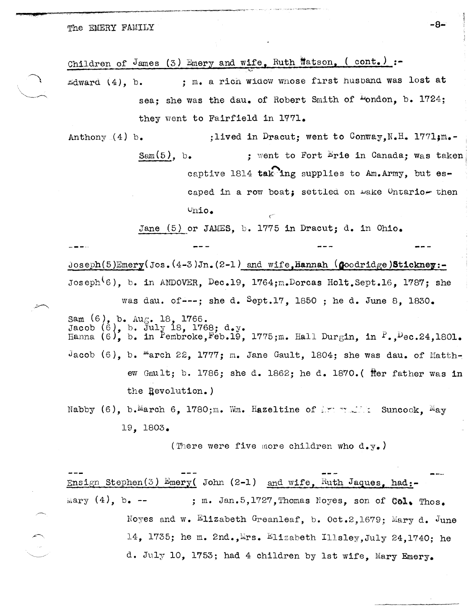· .t;L it .•

 $\overline{\phantom{0}}$ 

Children of James (3) Emery and wife, Ruth Watson, (cont.) :-

 $\begin{array}{c} \begin{array}{c} \begin{array}{c} \end{array} \\ \begin{array}{c} \end{array} \end{array}$ Edward  $(4)$ , b. ; m. a rich widow whose first husband was lost at sea; she was the dau. of Robert Smith of "ondon, b. 1724; they went to Fairfield in 1771.

 $~\cdot~$ 

Anthony (4) b.  $Sam(5)$ , b. ; lived in Dracut; went to Conway, N.H. 1771; m.-; went to Fort  $E$ rie in Canada; was taken captive 1814  $\text{tak}$  ing supplies to Am. Army, but escaped in a row boat; settled on make Ontario-then  $Vnio.$ 

Jane (5) or JAMES, b. 1775 in Dracut; d. in Ohio.

 $\subset$ 

 $Joseph(5)Energy(Jos. (4-3)Jn. (2-1) and wife,Hamnah (Good ridge) Stickney: -$ Joseph<sup>\6</sup>), b. in ANDOVER, Dec.19, 1764;m.Dorcas Holt.Sept.16, 1787; she was dau. of---; she d. Sept.17. 1850 ; he d. June 8. 1830.

 $\texttt{Sam}$  (6), b.  $\texttt{Aug.}18, 1766.$ Jacob  $(6)$ , b. July 18, 1768; d.y. Hanna (6), b. in Pembroke, Feb.19, 1775;m. Hall Durgin, in  $P_-,$  Dec.24,1801. Jacob (6), b.  $m$ arch 22, 1777; m. Jane Gault, 1804; she was dau. of Matthew Gault; b. 1786; she d. 1862; he d. 1870.( fter father was in the Revolution.)

Nabby (6), b. March 6, 1780; m. Wm. Hazeltine of  $\mathbb{R}^n$  suncook,  $\mathbb{N}_{\text{ay}}$ 19, 1803.

(There were five more children who d.y.)

Ensign Stephen(3) Emery( John (2-1) and wife, Ruth Jaques, had:mary  $(4)$ , b. --; m. Jan.5,1727, Thomas Noyes, son of Col. Thos. Noyes and w. Elizabeth Greanleaf, b. Oct.2,1679; Mary d. June 14. 1735; he m. 2nd., Mrs. Elizabeth Illsley, July 24, 1740; he

d. July 10, 1753; had 4 children by 1st wife, Mary Emery.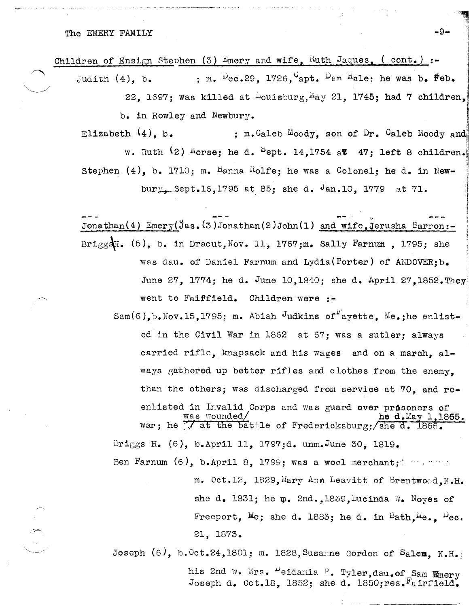The EMERY FAMILY  $-9-$ 

Children of Ensign Stephen (3) Emery and wife, Ruth Jaques, (cont.) :-

Judith (4), b. ; m.  $\frac{D_{e}}{C}$ .29, 1726, apt.  $\frac{D_{e}}{D}$  an  $\frac{H_{e}}{D}$  he was b. Feb. 22, 1697; was killed at  $\text{Louisburg},$  May 21, 1745; had 7 children,  $b_{\bullet}$  in Rowley and Newbury.

,

2010/02/2012 12:00:00 00:00

Elizabeth  $(4)$ , b.  $\qquad \qquad ; \quad m$ . Caleb Moody, son of Dr. Caleb Moody and w. Ruth  $(2)$  Morse; he d.  $5ept.$  14,1754 at  $47;$  left 8 children. Stephen  $(4)$ , b. 1710; m. Hanna Rolfe; he was a Colonel; he d. in Newbury, Sept.16,1795 at 85; she d.  $\frac{1}{10}$ , 1779 at 71.

Jonathan(4)  $\text{Energy}(Jas.(3)$  Jonathan(2)John(1) and wife, Jerusha Barron:-Brigg&H. (5), b. in Dracut, Nov. 11, 1767;m. Sally Farnum, 1795; she was dau. of Daniel Farnum and Lydia(Porter) of ANDOVER; b. June 27, 1774; he d. June 10,1840; she d. April 27,1852. They went to Faiffield. Children were :-

 $Sam(6)$ , b. Nov. 15, 1795; m. Abiah Judkins of ayette. Me. ;he enlisted in the Civil War in 1862 at 67; was a sutler; always carried rifle, knapsack and his wages and on a march, always gathered up better rifles and clothes from the enemy, than the others; was discharged from service at 70, and reenlisted in Invalid Corps and was guard over prisoners of was wounded/  $h$  he d.May 1.18 he d.May 1,1865. war; he  $\frac{1}{2}$  at the battle of Fredericksburg; she d. 1866. Briggs H.  $(6)$ , b.April 11, 1797;d. unm.June 30, 1819. Ben Farnum  $(6)$ , b.April 8, 1799; was a wool merchant; we have

> m. Oct.12, 1829, Mary Ann Leavitt of Brentwood, N.H. she d. 1831; he  $\mu$ . 2nd.,1839, Lucinda W. Noyes of Freeport,  $M e$ ; she d. 1883; he d. in Bath,  $M e$ .,  $D e$ c. 21, 1873.

Joseph  $(6)$ , b. Oct.24,1801; m. 1828, Susanne Gordon of Salem, N.H.: his 2nd w. Mrs. Deidamia P. Tyler,dau.of Sam Emery Joseph d. Oct.18, 1852; she d. 1850; res. Fairfield.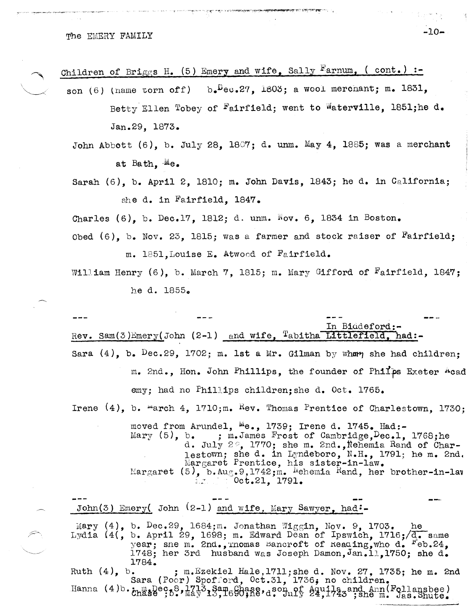The EMERY FAMILY  $-10-$ 

Children of Briggs H. (5) Emery and wife, Sally  $Farnum$ , (cont.) :-

- son (6) (name torn off)  $b_e^{\text{L}}$ ec.27, 1803; a wool merchant; m. 1831, Betty Ellen Tobey of Fairfield; went to Waterville, 1851;he d. Jan.29, 1873.
	- John Abbott  $(6)$ , b. July 28, 1807; d. unm. May 4, 1885; was a merchant at Bath. Me.
	- Sarah (6), b. April 2, 1810; m. John DaVis, 1843; he d. in Ce1ifornia; she d. in Fairfield, 1847.
	- Charles (6), b. Dec.17, 1812; d. unm.  $\bar{N}_{ov}$ . 6, 1834 in Boston.
	- Obed (6), b. Nov. 23, 1815; was a farmer and stock raiser of Fairfield; m. 1851, Louise E. Atwood of  $F_{\alpha}$ irfield.
	- William Henry  $(6)$ , b. March 7, 1815; m. Mary Gifford of Fairfield, 1847; he d. 1855.

In Biddeford:-Rev. Sam $(3)$ Emery(John  $(2-1)$  and wife, <sup>T</sup>abitha Littlefield, had:-Sara  $(4)$ , b.  $Dec.29$ , 1702; m. 1st a Mr. Gilman by whap she had children; m. 2nd., Hon. John Phillips, the founder of Philps Exeter #cad emy; had no Phillips children; she d. Oct. 1765. Irene  $(4)$ , b.  $marnch 4$ , 1710;m.  $Rev$ . Thomas Prentice of Charlestown, 1730; moved from Arundel,  $^{\text{Me}}\bullet$ , 1739; Irene d. 1745. Had:-<br>Mary (5), b. ; m.James Frost of Cambridge,  $\text{Dec.1}$ .  $,$  m.James Frost of Cambridge, $Dec.1, 1768;he$ d. July 2°, 1770; she m. 2nd., Nehemia Rand of Charlestown; she d. in Lyndeboro, N.H., 1791; he m. 2nd. hergaret Prentice, his sister-in-law. I:~ar;;aret (5), b.Au.s.9,1742;m. l~ehemia Hand, her brother-in-lav . . Oct.21, 1791. John(3) Emery( John  $(2-1)$  and wife, Mary Sawyer, had:-Mary  $(4)$ , b. Dec.29, 1684;m. Jonathan Wiggin, Nov. 9, 1703. he Lydia (4(, b. April 29, 1698; m. Edward Dean of Ipswich, 1716;/d. same year; sne m. 2nd., momas Bancroft of Reading, who d. reb.24, 1748; her 3rd husband was Joseph Damon, Jan.11, 1750; she d. 1784. Ruth (4), b. ; m.Ezekiel Hale, 1711; she d. Nov. 27, 1735; he m. 2nd Sara (Poor) Spofford, Oct.31, 1736; no children.

Hanna  $(4)$ b.  $\lim_{\text{the of } 8}$   $\lim_{\text{the of } 8}$ ,  $\lim_{\text{the of } 8}$   $\lim_{\text{the of } 8}$   $\lim_{\text{the of } 8}$   $\lim_{\text{the of } 8}$   $\lim_{\text{the of } 8}$   $\lim_{\text{the of } 8}$   $\lim_{\text{the of } 8}$   $\lim_{\text{the of } 8}$   $\lim_{\text{the of } 8}$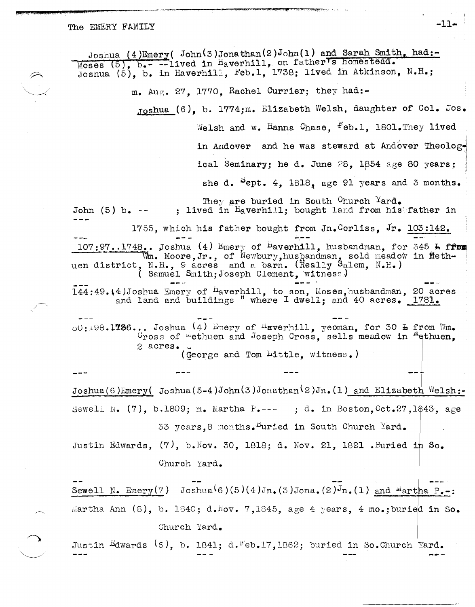## The EMERY FAMILY  $-11-$

Josnua (4)Emery( John(3)Jonathan(2)John(1) and Sarah Smith, had:-Moses (5), b.- --lived in Haverhill, on father's homestead. Josnua (5), b. in Haverhill, Feb.l, 1738; lived in Atkinson, N.H.; m. Aup;. 27, 1770, Rachel Currier; they had:- ,TOshua (6), b. 1774;m. Elizabeth Welsh, daughter of Col. Jos. Welsh and w. Hanna Chase, Feb.1, 1801. They lived in Andover and he was steward at Andover Theological Seminary; he d. June  $28$ , 1854 age 80 years; she d. Pept. 4,  $1818$ , age 91 years and 3 months. They are buried in South Church  $\texttt{Yard}_\bullet$ John (5) b.  $--$  ; lived in Haverhill; bought land from his father in 1755, which his father bought from Jn.Corliss, Jr. 103:142.  $107:97...1748...$  Joshua (4) Emery of <sup>h</sup>averhill, husbandman, for 345 h from WILL. Moore, Jr., of Newbury, hus handman, sold meadow in Methuen district, N.H., 9 acres and a barn. (Really Salem, N.H.) ( Samuel Snlth;Joseph Clement, 'wltnesf:)  $144:49$ . $(4)$ Joshua Emery of  ${}^{\text{H}}$ averhill, to son, Moses,husbandman, 20 acres and land and buildings " where I dwell; and 40 acres. 1781.  $0.00:198.1736...$  Joshua (4) Emery of "sverhill, yeoman, for 30  $\texttt{h}$  from Wm.  $C_{\rm ross}$  of "ethuen and Joseph Cross, sells meadow in "ethuen, 2 acres. (george and Tom Little, witness.) Joshua(6)Emery( Joshua(5-4)John(3)Jonathan(2)Jn. (1) and Elizabeth Welsh:-Sewell N.  $(7)$ , b.1809; m. Martha P.--- ; d. in Boston, Oct.27,1\$43, age 33 years, 8 months. Buried in South Church Yard. Justin Edwards,  $(7)$ , b. Nov. 30, 1818; d. Nov. 21, 1821 . Buried in So. Church Yard. Sewell N. Emery(7) Joshua<sup>(</sup>6)(5)(4)Jn.(3)Jona.(2)Jn.(1) and <sup>m</sup>artha P.-: Martha Ann  $(8)$ , b. 1840; d.Nov. 7,1845, age 4 years, 4 mo.;buried in So. Church Yard. Justin Edwards (6), b. 1841; d.Feb.17,1862; buried in So. Church <sup>1</sup>Yard.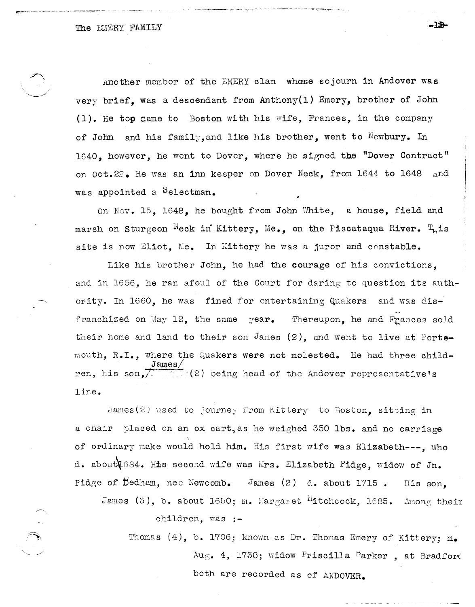Another member of the EMERY clan whose sojourn in Andover was very brief, was a descendant from  $\text{Anthony}(1)$  Emery, brother of John (1). He top came to Boston wi th his wife, Frances, in the company of John and his family, and like his brother, went to Newbury. In 1640, however, he went to Dover, where he signed the "Dover Contract" on Oct.2? He was an inn keeper on Dover Neck, from 1644 to 1648 and was appointed a Selectman.

On Nov. 15, 1648, he bought from John White, a house, field and marsh on Sturgeon  $^{\aleph}$ eck in Kittery, Me., on the Piscataqua River.  $T_{\text{h}}$ is site is now Eliot. Me. In Kittery he was a juror and constable.

Like his brother John, he had the courage of his convictions, and in 1656, he ran afoul of the Court for daring to question its auth ority. In 1660, he was fined for entertaining Quakers and was disfranchized on May 12, the same year. Thereupon, he and Frances sold their home and land to their son James  $(2)$ , and went to live at Portsmouth, R.I., where the Quakers were not molested. He had three child- $James/$ ren, his son,  $\sqrt{2}$   $(2)$  being head of the Andover representative's line.

James(2) used to journey from Kittery to Boston, sitting in a cnair placed on an ox cart,as he weighed 350 Ibs. and no carriage of ordinary make would hold him. His first wife was Elizabeth---, 'who d. about 1684. His second wife was Mrs. Elizabeth Pidge, widow of Jn. Pidge of Dedham, nee Newcomb. James (2) d. about 1715. His son.

James (3), b. about 1650; m. Wargaret <sup>h</sup>itchcock, 1685. Anong their children. was :-

Thomas  $(4)$ , b. 1706; known as Dr. Thomas Emery of Kittery; m. Aug. 4, 1738; widow Priscilla  $B$ arker, at Bradford both are recorded as of ANDOVER.

- 72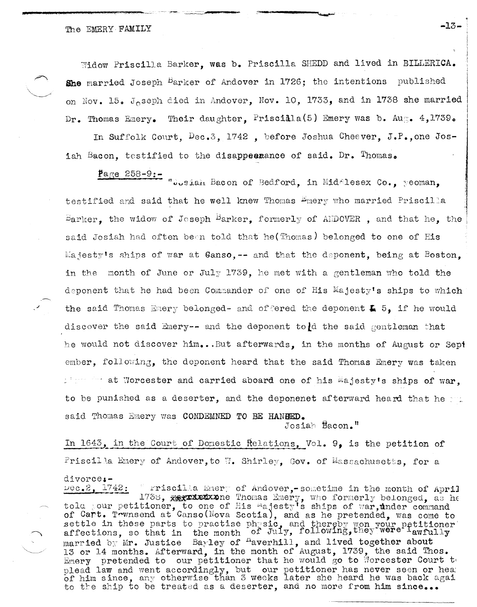Widow Priscilla Barker, was b. Priscilla SHEDD and lived in BILLERICA. She married Joseph Barker of Andover in 1726; the intentions published on Nov. 15. Joseph died in Andover, Nov. 10, 1733, and in 1738 she married Their daughter. Priscilla(5) Emery was b. Aug.  $4,1739$ .  $Dr.$  Thomas Emery.

In Suffolk Court,  $Dec.3$ , 1742, before Joshua Cheever, J.P., one Josiah Bacon, testified to the disappearance of said. Dr. Thomas.

Page 258-9: Toosiah Bacon of Bedford, in MidAlesex Co., yeoman, testified and said that he well knew Thomas Emery who married Priscilla  $B$ arker, the widow of Joseph  $B$ arker, formerly of ANDOVER, and that he, the said Josiah had often been told that he (Thomas) belonged to one of His Majesty's ships of war at Ganso, -- and that the deponent, being at Boston. in the month of June or July 1739, he met with a gentleman who told the deponent that he had been Commander of one of His Majesty's ships to which the said Thomas Emery belonged- and of fered the deponent  $\bar{L}$  5. if he would discover the said Emery-- and the deponent to d the said gentleman that he would not discover him...But afterwards, in the months of August or Sept ember, following, the deponent heard that the said Thomas Emery was taken I was for at Worcester and carried aboard one of his Majesty's ships of war. to be punished as a deserter, and the deponenet afterward heard that he  $\sim$ . said Thomas Emery was CONDEMNED TO BE HANGED.

Josiah Bacon."

In 1643, in the Court of Domestic Relations, Vol. 9, is the petition of Priscilla Emery of Andover, to W. Shirley, Gov. of Massachusetts, for a divorce:-

 $\text{vec}_2$ :  $2.1742$ : Friscilla Emery of Andover,-sometime in the month of April 1738, Approximation of His majesty's ships of war, under command of Cart. Trwnsend at Canso (Nova Scotia), and as he pretended, was come to settle in these parts to practise physic, and thereby won your petitioner affections, so that in the month of July, following, they were lawfully married by Mr. Justice Bayley of <sup>n</sup>averhill, and lived together about<br>13 or 14 months. Afterward, in the month of August, 1739, the said Thos. Emery pretended to our petitioner that he would go to Morcester Court to plead law and went accordingly, but our petitioner has never seen or head of him since, any otherwise than 3 weeks later she heard he was back agai to the ship to be treated as a deserter, and no more from him since...

 $-13-$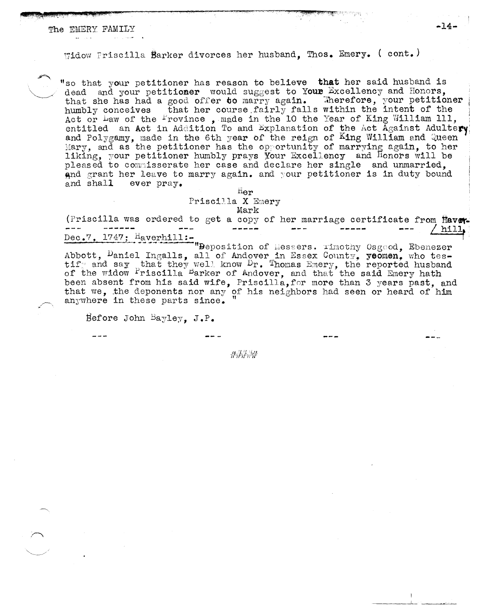Widow Priscilla Barker divorces her husband. Thos. Emery. (cont.)

"so that your petitioner has reason to believe that her said husband is dead and your petitioner would suggest to Your Excellency and Honors, that she has had a good offer to marry again. Therefore, your petitioner humbly conceives that her course fairly falls within the intent of the Act or Law of the Province, made in the 10 the Year of King William 111, entitled an Act in Addition To and Explanation of the Act Against Adulter and Polygamy, made in the 6th year of the reign of King William and Queen Mary, and as the petitioner has the opportunity of marrying again, to her liking, your petitioner humbly prays Your Excellency and Honors will be pleased to commisserate her case and declare her single and unmarried. and grant her leave to marry again. and your petitioner is in duty bound ever pray. and shall

> Her Priscilla X Emery Mark

(Priscilla was ordered to get a copy of her marriage certificate from Haver ----- $\frac{1}{2}$ hill,

Dec.7, 1747; Haverhill:-<br>"Peposition of Messers. Timothy Osgood, Ebenezer" Abbott, Daniel Ingalls, all of Andover in Essex County, yeomen, who tes-<br>tify and say that they well know Dr. Thomas Emery, the reported husband<br>of the widow Priscilla Barker of Andover, and that the said Emery hath been absent from his said wife, Priscilla, for more than 3 years past, and that we, the deponents nor any of his neighbors had seen or heard of him anywhere in these parts since.

Before John Bayley. J.P.

推荐治学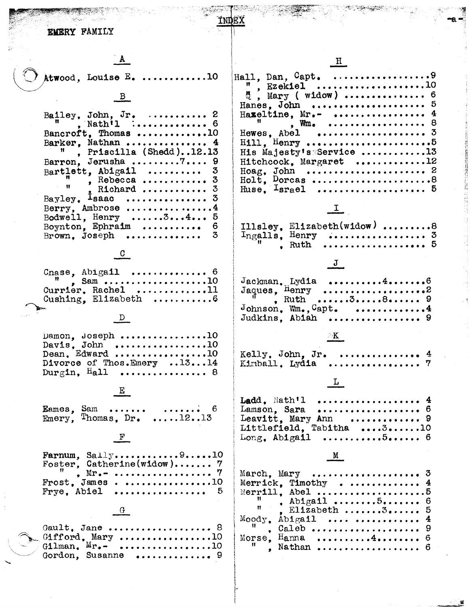EMERY FAMILY

~~"j~~~\*J }(:~Z~~;'"~'~.'~-'

A

Atwood, Louise  $E_$ .............10

INDEX

 $B$ 

| Bailey, John, Jr. $\ldots$ 2                       |
|----------------------------------------------------|
| Bancroft. Thomas 10                                |
| Barker, Nathan  4                                  |
| Priscilla (Shedd)12.13<br>Ħ                        |
| Barron, Jerusha 7 9                                |
| Bartlett, Abigail $3$                              |
| $\frac{1}{1}$ , Rebecca  3                         |
| . Richard<br>3                                     |
| Bayley, $I_{\text{saac}}$<br>3                     |
| Berry. Ambrose $4$                                 |
| -5<br>Bodwell, Henry $\dots \dots 3 \dots 4 \dots$ |
| Boynton, Ephraim $6$                               |
| 3<br>Brown, $Joseph$                               |

 $\frac{C}{2}$ 

|  | Cnase, Abigail  6                                        |
|--|----------------------------------------------------------|
|  | w , Sam 10<br>Currier, Rachel 11<br>Cushing, Elizabeth 6 |
|  |                                                          |

# $D$

| Damon. Joseph 10           |  |
|----------------------------|--|
| Davis, John 10             |  |
| Dean. Edward 10            |  |
| Divorce of Thos.Emery 1314 |  |
| Durgin, $Hall$ 8           |  |

 $E$ 

 $E$ ames,  $\frac{S}{2}$ am ...... Emery, Thomas, Dr. ....... <sup>6</sup>  $\dots \dots \overset{\cdots}{\underset{\cdots}{\cdots}} \overset{\cdots}{\underset{\cdots}{\cdots}} \overset{\cdots}{\underset{\cdots}{\cdots}}$ 

# $\mathbf{F}$

| Farnum, $Saily$ 10         |  |  |  |  |
|----------------------------|--|--|--|--|
| Foster. Catherine(widow) 7 |  |  |  |  |
|                            |  |  |  |  |
| $Frost.$ James10           |  |  |  |  |
| Frye. Abiel  5             |  |  |  |  |

 $\frac{G}{\sqrt{2}}$ 

| Gault. Jane  8<br>$\sum_{m}$ Gifford, Mary 10              |  |  |  |  |  |
|------------------------------------------------------------|--|--|--|--|--|
| $\sim$ Gilman. $M_{r_{\bullet}-}$ 10<br>Gordon, Susanne  9 |  |  |  |  |  |

| $\mathbb{R}$ , Ezekiel 10<br>$\frac{15}{2}$ , Mary ( widow)  6<br>Hanes, John  5<br>Haxeltine, $Mr_{\bullet}$ -  4<br>$^{\text{II}}$ , Wille exercises exercises 8<br>$H111.$ Henry 5<br>His Majesty's Service 13<br>Hitchcock, Margaret 12<br>Holt, Dorcas 8<br>Huse, Israel  5 |
|----------------------------------------------------------------------------------------------------------------------------------------------------------------------------------------------------------------------------------------------------------------------------------|
| $\frac{1}{\sqrt{2}}$                                                                                                                                                                                                                                                             |
| Illsley, Elizabeth(widow) 8<br>Ingalls, Henry  3<br>. 5<br>. Ruth                                                                                                                                                                                                                |
| J                                                                                                                                                                                                                                                                                |
| $Jackman$ . Lydia 46<br>Jaques, $\text{Henry}$<br>, Ruth 38 9<br>Johnson, Wm., Capt. 4<br>Judkins. Abiah  9                                                                                                                                                                      |
| $\mathbb{R}^n$                                                                                                                                                                                                                                                                   |
| Kelly, John, Jr. $\ldots \ldots \ldots$<br>Kimball, Lydia                                                                                                                                                                                                                        |
| Ŀ                                                                                                                                                                                                                                                                                |
| Ladd, Nath'l<br>.<br>.<br>Lamson, Sara<br>Leavitt, Mary Ann  9<br>Littlefield, Tabitha 310<br>Long. Abigail<br><b>. 5.</b> 6                                                                                                                                                     |
| M                                                                                                                                                                                                                                                                                |
| 3<br>March, Mary<br>Merrick. Timothy<br>4<br>$M$ $\sim$ $M$ $11$ $M$ $\sim$ $1$                                                                                                                                                                                                  |

o~ **–a. –** 

- -~ % ' ......

| Merrick. Timothy $4$ |  |
|----------------------|--|
|                      |  |
|                      |  |
|                      |  |
| $Mody$ . Abigail   4 |  |
|                      |  |
| Morse, Hanna $4.$ 6  |  |
|                      |  |
|                      |  |